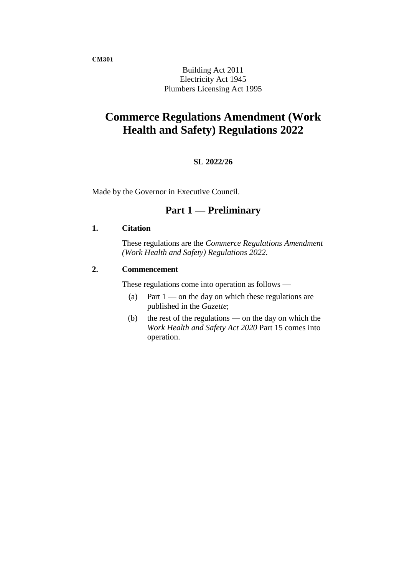**CM301**

Building Act 2011 Electricity Act 1945 Plumbers Licensing Act 1995

# **Commerce Regulations Amendment (Work Health and Safety) Regulations 2022**

## **SL 2022/26**

Made by the Governor in Executive Council.

## **Part 1 — Preliminary**

### **1. Citation**

These regulations are the *Commerce Regulations Amendment (Work Health and Safety) Regulations 2022*.

#### **2. Commencement**

These regulations come into operation as follows —

- (a) Part  $1$  on the day on which these regulations are published in the *Gazette*;
- (b) the rest of the regulations on the day on which the *Work Health and Safety Act 2020* Part 15 comes into operation.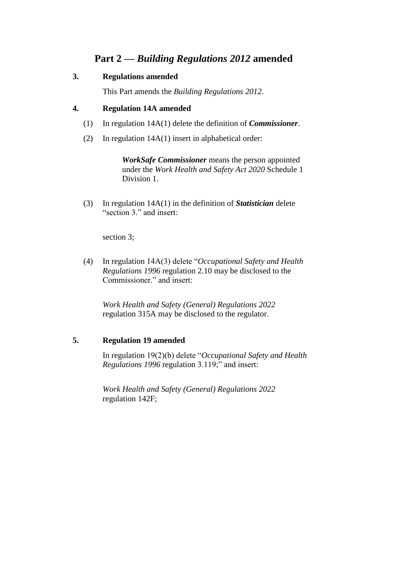# **Part 2 —** *Building Regulations 2012* **amended**

### **3. Regulations amended**

This Part amends the *Building Regulations 2012*.

### **4. Regulation 14A amended**

- (1) In regulation 14A(1) delete the definition of *Commissioner*.
- (2) In regulation 14A(1) insert in alphabetical order:

*WorkSafe Commissioner* means the person appointed under the *Work Health and Safety Act 2020* Schedule 1 Division 1.

(3) In regulation 14A(1) in the definition of *Statistician* delete "section 3." and insert:

section 3;

(4) In regulation 14A(3) delete "*Occupational Safety and Health Regulations 1996* regulation 2.10 may be disclosed to the Commissioner." and insert:

*Work Health and Safety (General) Regulations 2022* regulation 315A may be disclosed to the regulator.

## **5. Regulation 19 amended**

In regulation 19(2)(b) delete "*Occupational Safety and Health Regulations 1996* regulation 3.119;" and insert:

*Work Health and Safety (General) Regulations 2022* regulation 142F;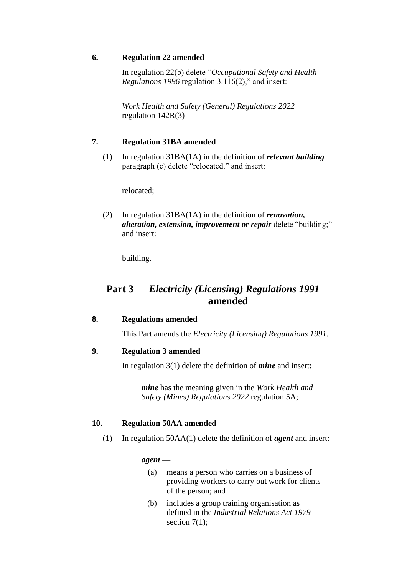### **6. Regulation 22 amended**

In regulation 22(b) delete "*Occupational Safety and Health Regulations 1996* regulation 3.116(2)," and insert:

*Work Health and Safety (General) Regulations 2022* regulation  $142R(3)$  —

## **7. Regulation 31BA amended**

(1) In regulation 31BA(1A) in the definition of *relevant building* paragraph (c) delete "relocated." and insert:

relocated;

(2) In regulation 31BA(1A) in the definition of *renovation, alteration, extension, improvement or repair* delete "building;" and insert:

building.

# **Part 3 —** *Electricity (Licensing) Regulations 1991* **amended**

### **8. Regulations amended**

This Part amends the *Electricity (Licensing) Regulations 1991*.

## **9. Regulation 3 amended**

In regulation 3(1) delete the definition of *mine* and insert:

*mine* has the meaning given in the *Work Health and Safety (Mines) Regulations 2022* regulation 5A;

### **10. Regulation 50AA amended**

(1) In regulation 50AA(1) delete the definition of *agent* and insert:

*agent —*

- (a) means a person who carries on a business of providing workers to carry out work for clients of the person; and
- (b) includes a group training organisation as defined in the *Industrial Relations Act 1979* section 7(1):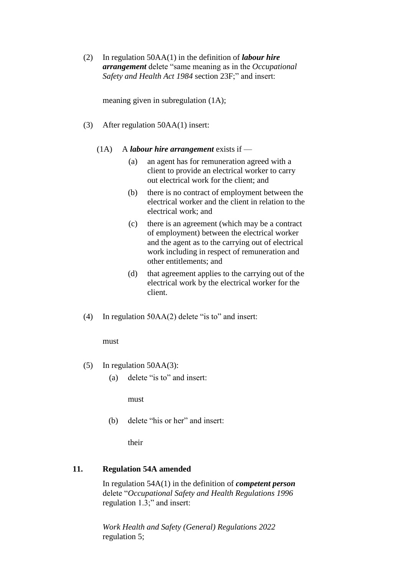(2) In regulation 50AA(1) in the definition of *labour hire arrangement* delete "same meaning as in the *Occupational Safety and Health Act 1984* section 23F;" and insert:

meaning given in subregulation (1A);

- (3) After regulation 50AA(1) insert:
	- (1A) A *labour hire arrangement* exists if
		- (a) an agent has for remuneration agreed with a client to provide an electrical worker to carry out electrical work for the client; and
		- (b) there is no contract of employment between the electrical worker and the client in relation to the electrical work; and
		- (c) there is an agreement (which may be a contract of employment) between the electrical worker and the agent as to the carrying out of electrical work including in respect of remuneration and other entitlements; and
		- (d) that agreement applies to the carrying out of the electrical work by the electrical worker for the client.
- (4) In regulation 50AA(2) delete "is to" and insert:

#### must

- (5) In regulation 50AA(3):
	- (a) delete "is to" and insert:

must

(b) delete "his or her" and insert:

their

### **11. Regulation 54A amended**

In regulation 54A(1) in the definition of *competent person* delete "*Occupational Safety and Health Regulations 1996* regulation 1.3;" and insert:

*Work Health and Safety (General) Regulations 2022* regulation 5;